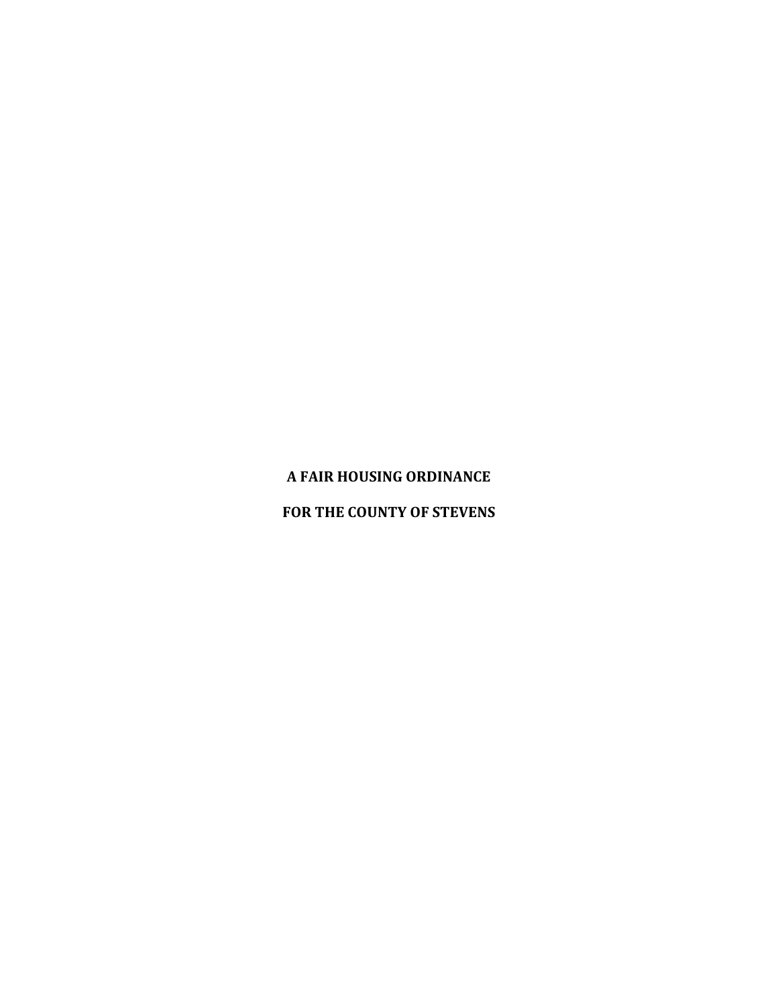# **A FAIR HOUSING ORDINANCE**

### **FOR THE COUNTY OF STEVENS**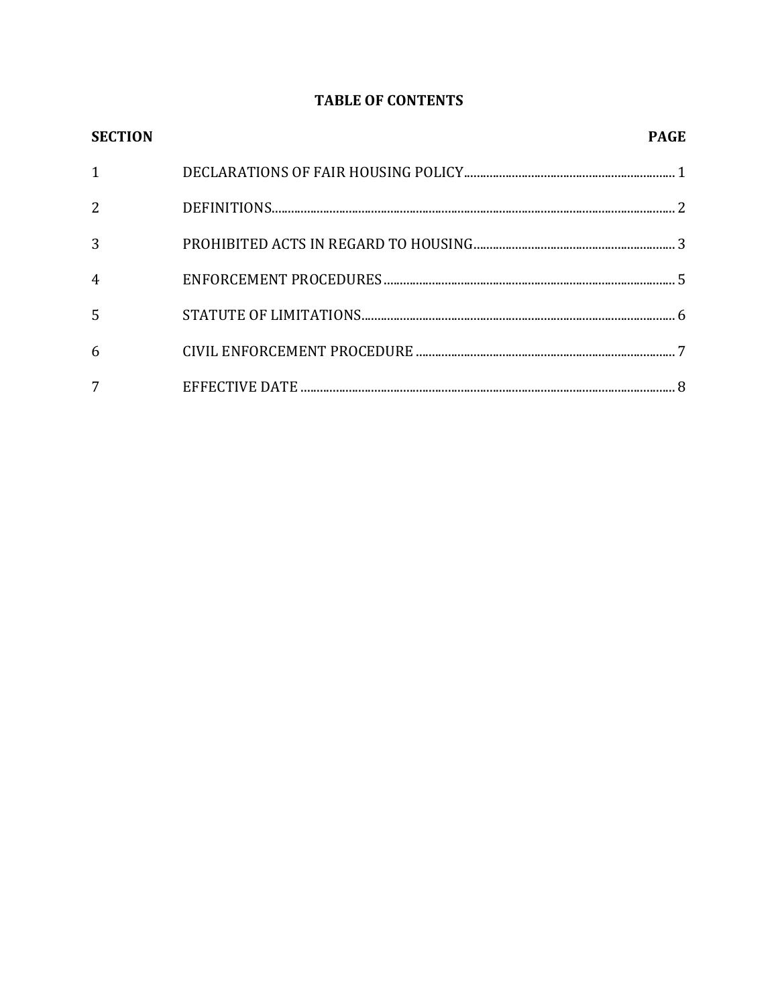# **TABLE OF CONTENTS**

| <b>SECTION</b> | <b>PAGE</b> |
|----------------|-------------|
| $\mathbf{1}$   |             |
| 2              |             |
| 3              |             |
| $\overline{4}$ |             |
| 5              |             |
| 6              |             |
| 7              |             |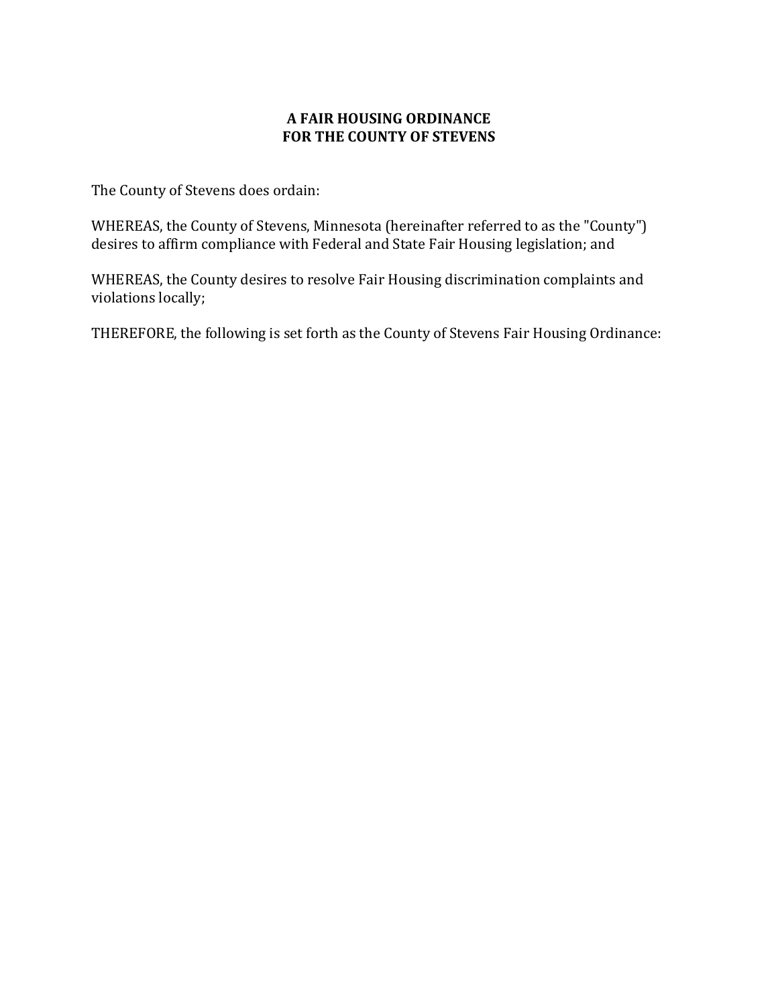### **A FAIR HOUSING ORDINANCE FOR THE COUNTY OF STEVENS**

The County of Stevens does ordain:

WHEREAS, the County of Stevens, Minnesota (hereinafter referred to as the "County") desires to affirm compliance with Federal and State Fair Housing legislation; and

WHEREAS, the County desires to resolve Fair Housing discrimination complaints and violations locally;

THEREFORE, the following is set forth as the County of Stevens Fair Housing Ordinance: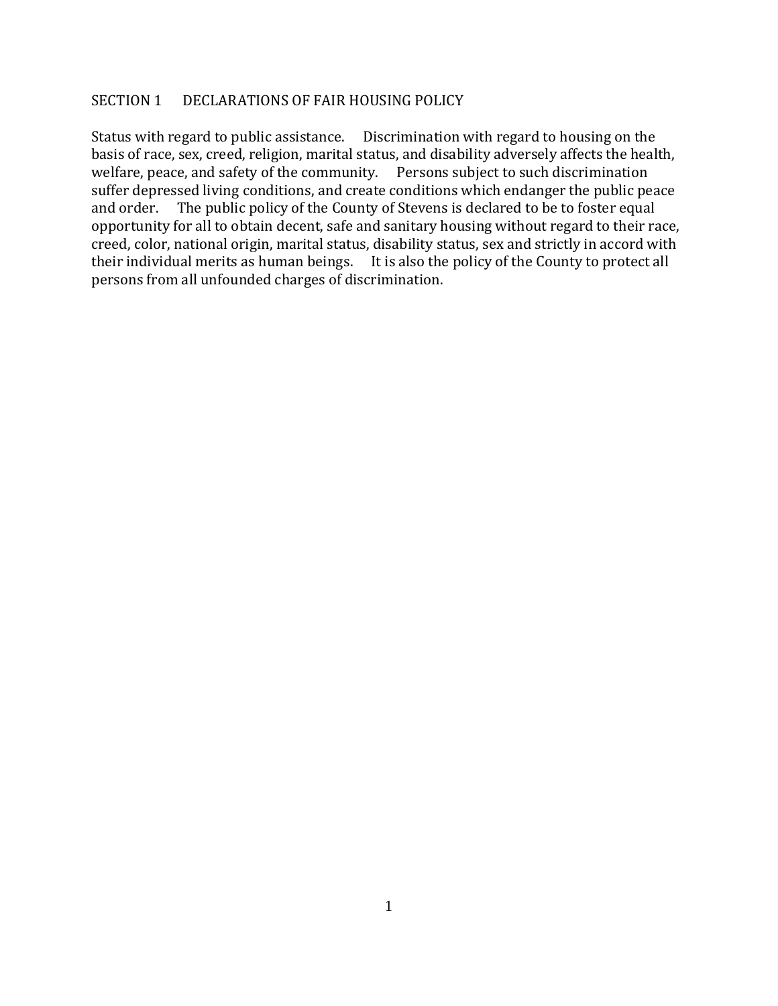#### SECTION 1 DECLARATIONS OF FAIR HOUSING POLICY

Status with regard to public assistance. Discrimination with regard to housing on the basis of race, sex, creed, religion, marital status, and disability adversely affects the health, welfare, peace, and safety of the community. Persons subject to such discrimination suffer depressed living conditions, and create conditions which endanger the public peace and order. The public policy of the County of Stevens is declared to be to foster equal opportunity for all to obtain decent, safe and sanitary housing without regard to their race, creed, color, national origin, marital status, disability status, sex and strictly in accord with their individual merits as human beings. It is also the policy of the County to protect all persons from all unfounded charges of discrimination.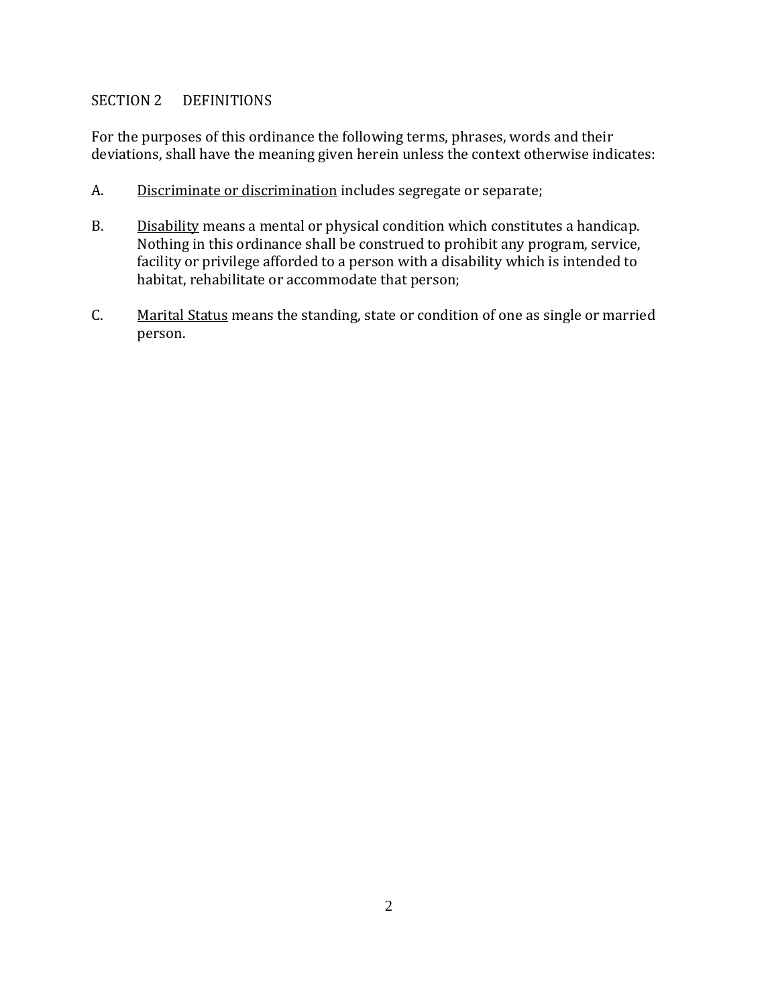### SECTION 2 DEFINITIONS

For the purposes of this ordinance the following terms, phrases, words and their deviations, shall have the meaning given herein unless the context otherwise indicates:

- A. Discriminate or discrimination includes segregate or separate;
- B. Disability means a mental or physical condition which constitutes a handicap. Nothing in this ordinance shall be construed to prohibit any program, service, facility or privilege afforded to a person with a disability which is intended to habitat, rehabilitate or accommodate that person;
- C. Marital Status means the standing, state or condition of one as single or married person.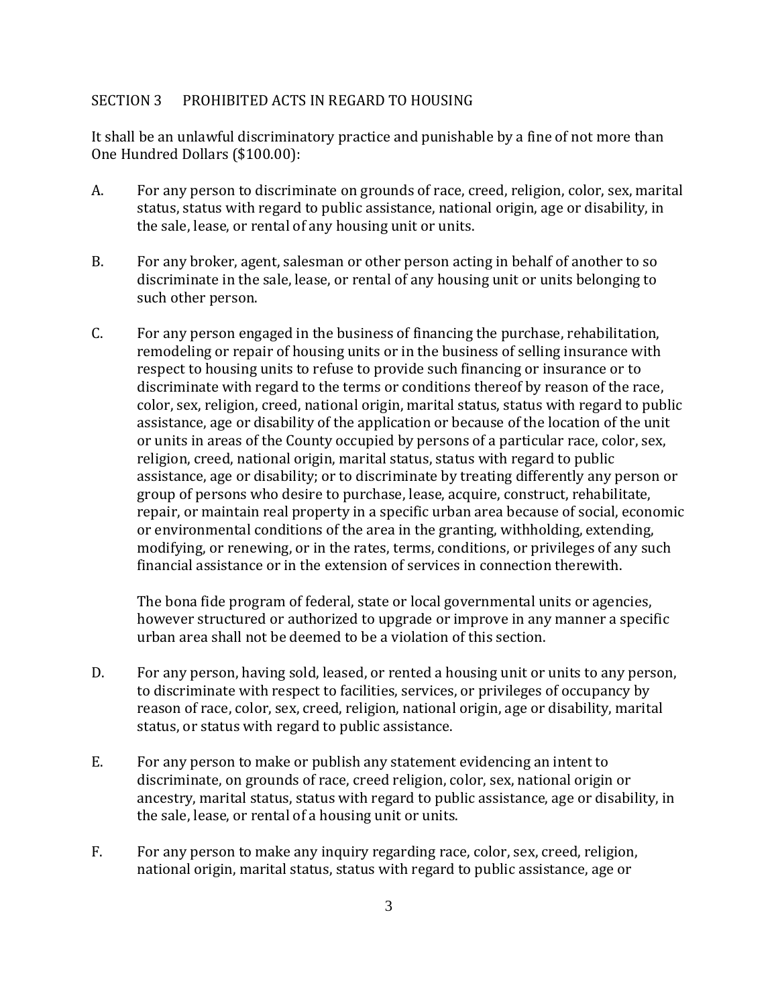#### SECTION 3 PROHIBITED ACTS IN REGARD TO HOUSING

It shall be an unlawful discriminatory practice and punishable by a fine of not more than One Hundred Dollars (\$100.00):

- A. For any person to discriminate on grounds of race, creed, religion, color, sex, marital status, status with regard to public assistance, national origin, age or disability, in the sale, lease, or rental of any housing unit or units.
- B. For any broker, agent, salesman or other person acting in behalf of another to so discriminate in the sale, lease, or rental of any housing unit or units belonging to such other person.
- C. For any person engaged in the business of financing the purchase, rehabilitation, remodeling or repair of housing units or in the business of selling insurance with respect to housing units to refuse to provide such financing or insurance or to discriminate with regard to the terms or conditions thereof by reason of the race, color, sex, religion, creed, national origin, marital status, status with regard to public assistance, age or disability of the application or because of the location of the unit or units in areas of the County occupied by persons of a particular race, color, sex, religion, creed, national origin, marital status, status with regard to public assistance, age or disability; or to discriminate by treating differently any person or group of persons who desire to purchase, lease, acquire, construct, rehabilitate, repair, or maintain real property in a specific urban area because of social, economic or environmental conditions of the area in the granting, withholding, extending, modifying, or renewing, or in the rates, terms, conditions, or privileges of any such financial assistance or in the extension of services in connection therewith.

The bona fide program of federal, state or local governmental units or agencies, however structured or authorized to upgrade or improve in any manner a specific urban area shall not be deemed to be a violation of this section.

- D. For any person, having sold, leased, or rented a housing unit or units to any person, to discriminate with respect to facilities, services, or privileges of occupancy by reason of race, color, sex, creed, religion, national origin, age or disability, marital status, or status with regard to public assistance.
- E. For any person to make or publish any statement evidencing an intent to discriminate, on grounds of race, creed religion, color, sex, national origin or ancestry, marital status, status with regard to public assistance, age or disability, in the sale, lease, or rental of a housing unit or units.
- F. For any person to make any inquiry regarding race, color, sex, creed, religion, national origin, marital status, status with regard to public assistance, age or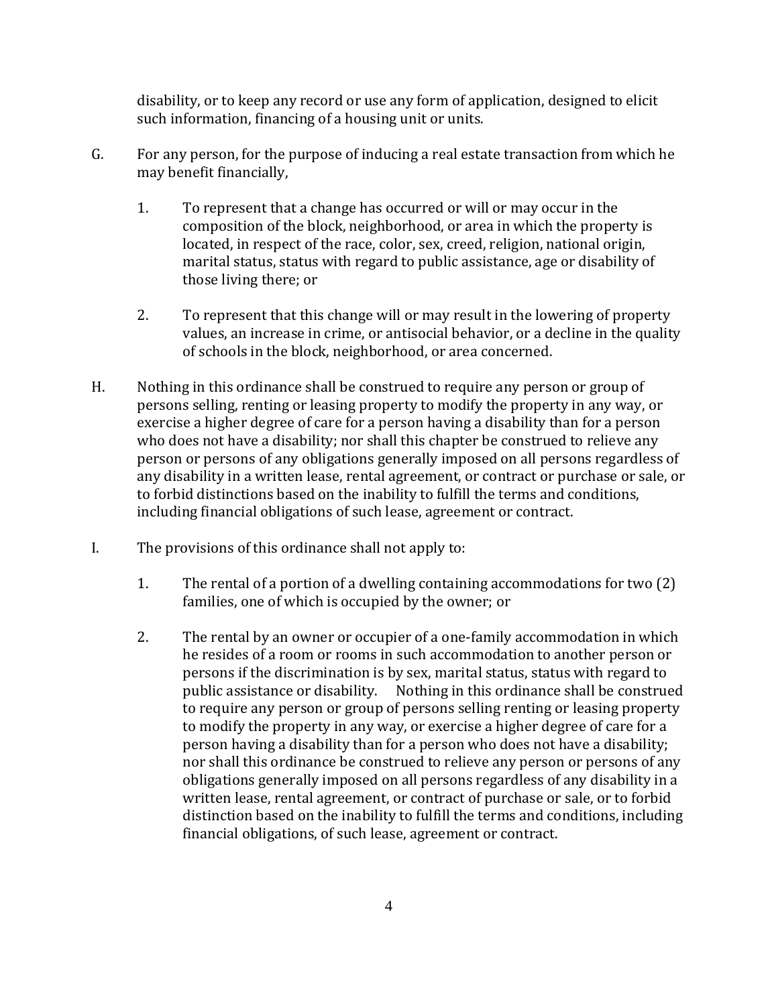disability, or to keep any record or use any form of application, designed to elicit such information, financing of a housing unit or units.

- G. For any person, for the purpose of inducing a real estate transaction from which he may benefit financially,
	- 1. To represent that a change has occurred or will or may occur in the composition of the block, neighborhood, or area in which the property is located, in respect of the race, color, sex, creed, religion, national origin, marital status, status with regard to public assistance, age or disability of those living there; or
	- 2. To represent that this change will or may result in the lowering of property values, an increase in crime, or antisocial behavior, or a decline in the quality of schools in the block, neighborhood, or area concerned.
- H. Nothing in this ordinance shall be construed to require any person or group of persons selling, renting or leasing property to modify the property in any way, or exercise a higher degree of care for a person having a disability than for a person who does not have a disability; nor shall this chapter be construed to relieve any person or persons of any obligations generally imposed on all persons regardless of any disability in a written lease, rental agreement, or contract or purchase or sale, or to forbid distinctions based on the inability to fulfill the terms and conditions, including financial obligations of such lease, agreement or contract.
- I. The provisions of this ordinance shall not apply to:
	- 1. The rental of a portion of a dwelling containing accommodations for two (2) families, one of which is occupied by the owner; or
	- 2. The rental by an owner or occupier of a one-family accommodation in which he resides of a room or rooms in such accommodation to another person or persons if the discrimination is by sex, marital status, status with regard to public assistance or disability. Nothing in this ordinance shall be construed to require any person or group of persons selling renting or leasing property to modify the property in any way, or exercise a higher degree of care for a person having a disability than for a person who does not have a disability; nor shall this ordinance be construed to relieve any person or persons of any obligations generally imposed on all persons regardless of any disability in a written lease, rental agreement, or contract of purchase or sale, or to forbid distinction based on the inability to fulfill the terms and conditions, including financial obligations, of such lease, agreement or contract.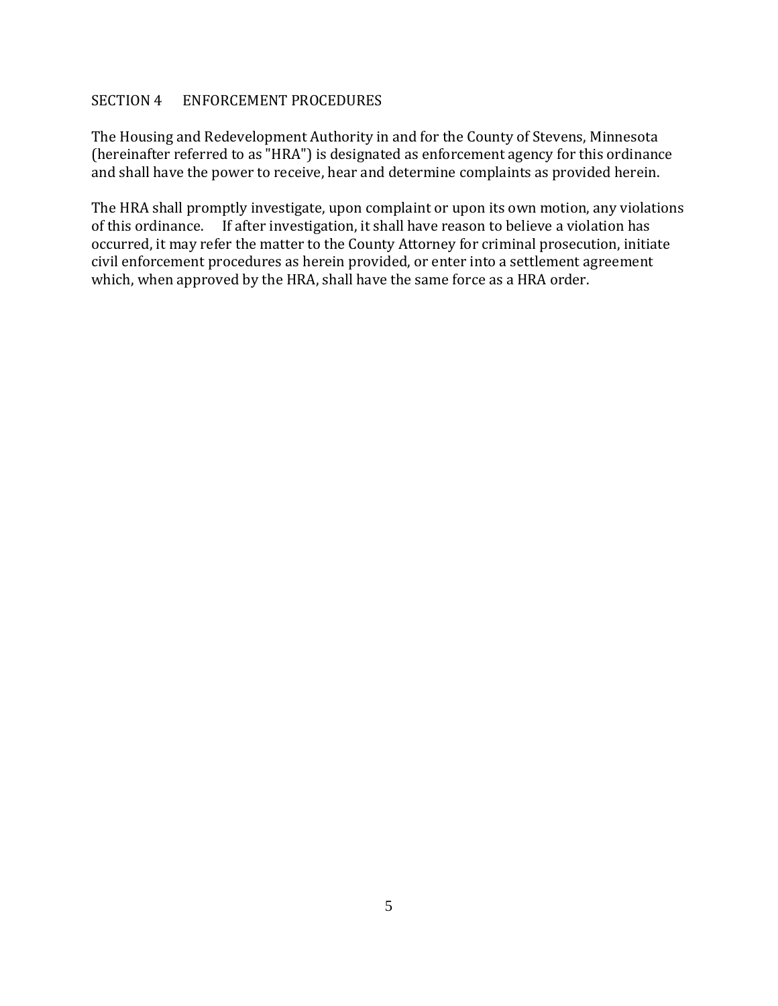#### SECTION 4 ENFORCEMENT PROCEDURES

The Housing and Redevelopment Authority in and for the County of Stevens, Minnesota (hereinafter referred to as "HRA") is designated as enforcement agency for this ordinance and shall have the power to receive, hear and determine complaints as provided herein.

The HRA shall promptly investigate, upon complaint or upon its own motion, any violations of this ordinance. If after investigation, it shall have reason to believe a violation has occurred, it may refer the matter to the County Attorney for criminal prosecution, initiate civil enforcement procedures as herein provided, or enter into a settlement agreement which, when approved by the HRA, shall have the same force as a HRA order.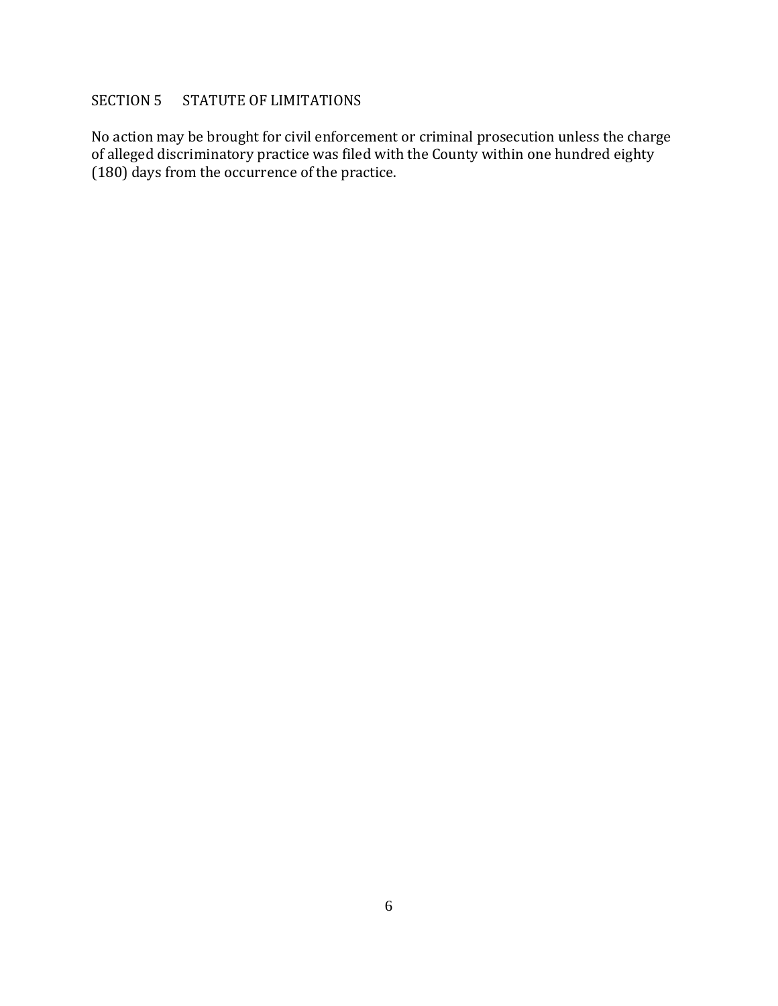## SECTION 5 STATUTE OF LIMITATIONS

No action may be brought for civil enforcement or criminal prosecution unless the charge of alleged discriminatory practice was filed with the County within one hundred eighty (180) days from the occurrence of the practice.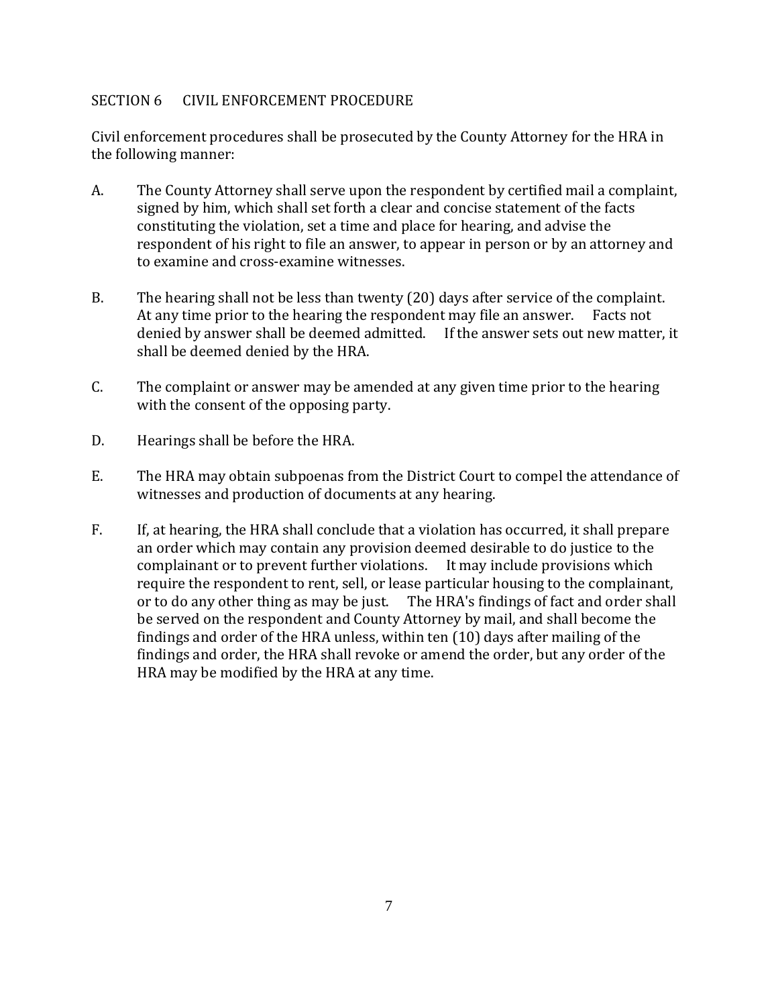### SECTION 6 CIVIL ENFORCEMENT PROCEDURE

Civil enforcement procedures shall be prosecuted by the County Attorney for the HRA in the following manner:

- A. The County Attorney shall serve upon the respondent by certified mail a complaint, signed by him, which shall set forth a clear and concise statement of the facts constituting the violation, set a time and place for hearing, and advise the respondent of his right to file an answer, to appear in person or by an attorney and to examine and cross-examine witnesses.
- B. The hearing shall not be less than twenty (20) days after service of the complaint. At any time prior to the hearing the respondent may file an answer. Facts not denied by answer shall be deemed admitted. If the answer sets out new matter, it shall be deemed denied by the HRA.
- C. The complaint or answer may be amended at any given time prior to the hearing with the consent of the opposing party.
- D. Hearings shall be before the HRA.
- E. The HRA may obtain subpoenas from the District Court to compel the attendance of witnesses and production of documents at any hearing.
- F. If, at hearing, the HRA shall conclude that a violation has occurred, it shall prepare an order which may contain any provision deemed desirable to do justice to the complainant or to prevent further violations. It may include provisions which require the respondent to rent, sell, or lease particular housing to the complainant, or to do any other thing as may be just. The HRA's findings of fact and order shall be served on the respondent and County Attorney by mail, and shall become the findings and order of the HRA unless, within ten (10) days after mailing of the findings and order, the HRA shall revoke or amend the order, but any order of the HRA may be modified by the HRA at any time.